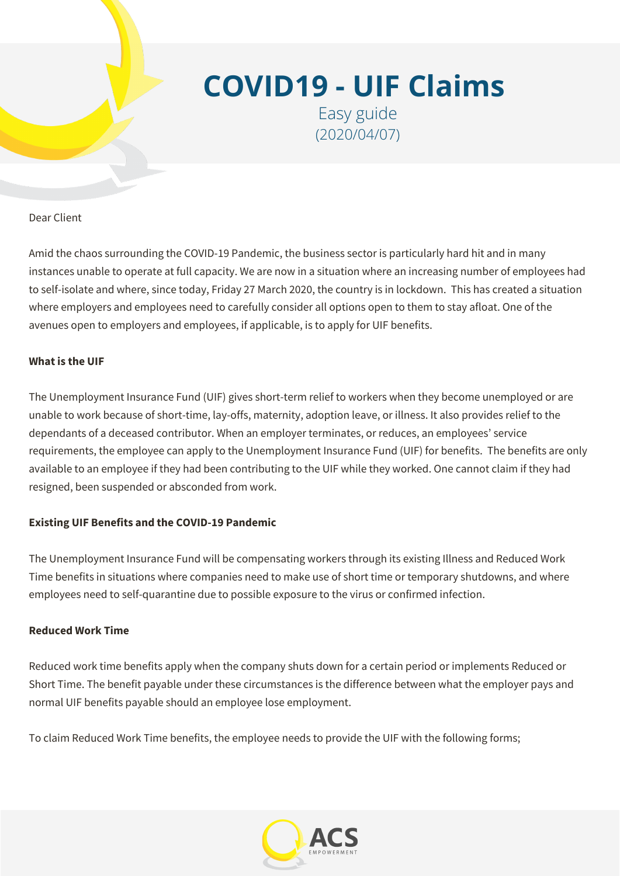

# **COVID19 - UIF Claims**

Easy guide (2020/04/07)

Dear Client

Amid the chaos surrounding the COVID-19 Pandemic, the business sector is particularly hard hit and in many instances unable to operate at full capacity. We are now in a situation where an increasing number of employees had to self-isolate and where, since today, Friday 27 March 2020, the country is in lockdown. This has created a situation where employers and employees need to carefully consider all options open to them to stay afloat. One of the avenues open to employers and employees, if applicable, is to apply for UIF benefits.

# **What is the UIF**

The Unemployment Insurance Fund (UIF) gives short-term relief to workers when they become unemployed or are unable to work because of short-time, lay-offs, maternity, adoption leave, or illness. It also provides relief to the dependants of a deceased contributor. When an employer terminates, or reduces, an employees' service requirements, the employee can apply to the Unemployment Insurance Fund (UIF) for benefits. The benefits are only available to an employee if they had been contributing to the UIF while they worked. One cannot claim if they had resigned, been suspended or absconded from work.

# **Existing UIF Benefits and the COVID-19 Pandemic**

The Unemployment Insurance Fund will be compensating workers through its existing Illness and Reduced Work Time benefits in situations where companies need to make use of short time or temporary shutdowns, and where employees need to self-quarantine due to possible exposure to the virus or confirmed infection.

# **Reduced Work Time**

Reduced work time benefits apply when the company shuts down for a certain period or implements Reduced or Short Time. The benefit payable under these circumstances is the difference between what the employer pays and normal UIF benefits payable should an employee lose employment.

To claim Reduced Work Time benefits, the employee needs to provide the UIF with the following forms;

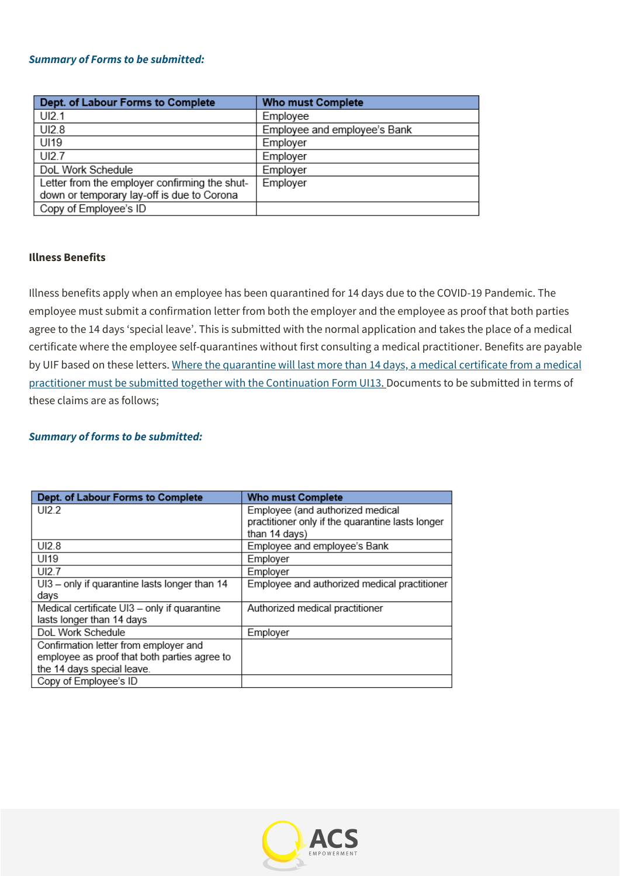#### *Summary of Forms to be submitted:*

| Dept. of Labour Forms to Complete             | <b>Who must Complete</b>     |
|-----------------------------------------------|------------------------------|
| UI2.1                                         | Employee                     |
| UI2.8                                         | Employee and employee's Bank |
| UI19                                          | Employer                     |
| UI2.7                                         | Employer                     |
| DoL Work Schedule                             | Employer                     |
| Letter from the employer confirming the shut- | Employer                     |
| down or temporary lay-off is due to Corona    |                              |
| Copy of Employee's ID                         |                              |

#### **Illness Benefits**

Illness benefits apply when an employee has been quarantined for 14 days due to the COVID-19 Pandemic. The employee must submit a confirmation letter from both the employer and the employee as proof that both parties agree to the 14 days 'special leave'. This is submitted with the normal application and takes the place of a medical certificate where the employee self-quarantines without first consulting a medical practitioner. Benefits are payable by UIF based on these letters. Where the quarantine will last more than 14 days, a medical certificate from a medical practitioner must be submitted together with the Continuation Form UI13. Documents to be submitted in terms of these claims are as follows;

#### *Summary of forms to be submitted:*

| Dept. of Labour Forms to Complete             | <b>Who must Complete</b>                         |
|-----------------------------------------------|--------------------------------------------------|
| UI2.2                                         | Employee (and authorized medical                 |
|                                               | practitioner only if the quarantine lasts longer |
|                                               | than 14 days)                                    |
| UI2.8                                         | Employee and employee's Bank                     |
| UI19                                          | Employer                                         |
| UI27                                          | Employer                                         |
| UI3 - only if quarantine lasts longer than 14 | Employee and authorized medical practitioner     |
| days                                          |                                                  |
| Medical certificate UI3 - only if quarantine  | Authorized medical practitioner                  |
| lasts longer than 14 days                     |                                                  |
| DoL Work Schedule                             | Employer                                         |
| Confirmation letter from employer and         |                                                  |
| employee as proof that both parties agree to  |                                                  |
| the 14 days special leave.                    |                                                  |
| Copy of Employee's ID                         |                                                  |

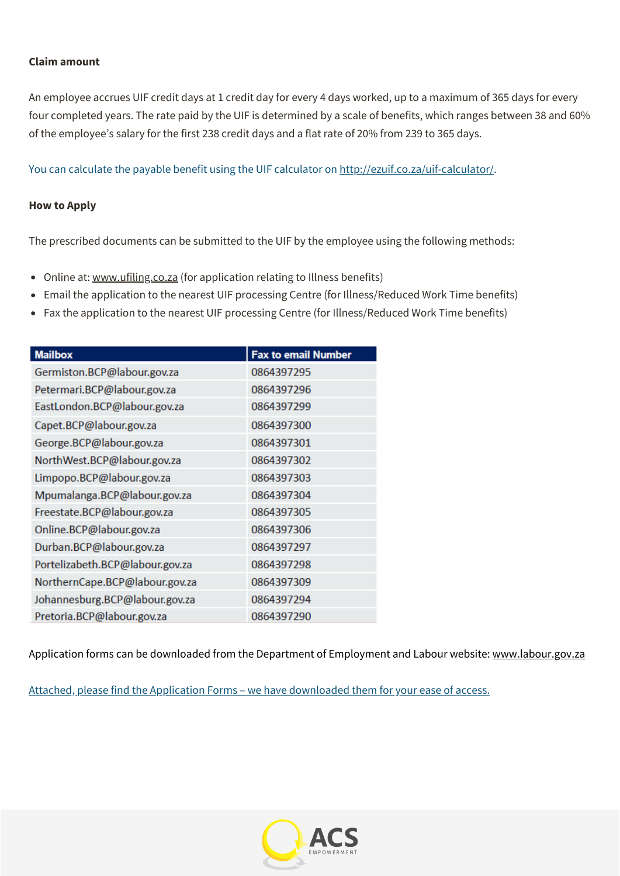#### **Claim amount**

An employee accrues UIF credit days at 1 credit day for every 4 days worked, up to a maximum of 365 days for every four completed years. The rate paid by the UIF is determined by a scale of benefits, which ranges between 38 and 60% of the employee's salary for the first 238 credit days and a flat rate of 20% from 239 to 365 days.

You can calculate the payable benefit using the UIF calculator on <http://ezuif.co.za/uif-calculator/>.

#### **How to Apply**

The prescribed documents can be submitted to the UIF by the employee using the following methods:

- Online at: [www.ufiling.co.za](http://www.ufiling.co.za/) (for application relating to Illness benefits)
- Email the application to the nearest UIF processing Centre (for Illness/Reduced Work Time benefits)
- Fax the application to the nearest UIF processing Centre (for Illness/Reduced Work Time benefits)

| <b>Mailbox</b>                  | <b>Fax to email Number</b> |
|---------------------------------|----------------------------|
| Germiston.BCP@labour.gov.za     | 0864397295                 |
| Petermari.BCP@labour.gov.za     | 0864397296                 |
| EastLondon.BCP@labour.gov.za    | 0864397299                 |
| Capet.BCP@labour.gov.za         | 0864397300                 |
| George.BCP@labour.gov.za        | 0864397301                 |
| NorthWest.BCP@labour.gov.za     | 0864397302                 |
| Limpopo.BCP@labour.gov.za       | 0864397303                 |
| Mpumalanga.BCP@labour.gov.za    | 0864397304                 |
| Freestate.BCP@labour.gov.za     | 0864397305                 |
| Online.BCP@labour.gov.za        | 0864397306                 |
| Durban.BCP@labour.gov.za        | 0864397297                 |
| Portelizabeth.BCP@labour.gov.za | 0864397298                 |
| NorthernCape.BCP@labour.gov.za  | 0864397309                 |
| Johannesburg.BCP@labour.gov.za  | 0864397294                 |
| Pretoria.BCP@labour.gov.za      | 0864397290                 |

Application forms can be downloaded from the Department of Employment and Labour website: [www.labour.gov.za](http://www.labour.gov.za/)

Attached, please find the Application Forms – we have downloaded them for your ease of access.

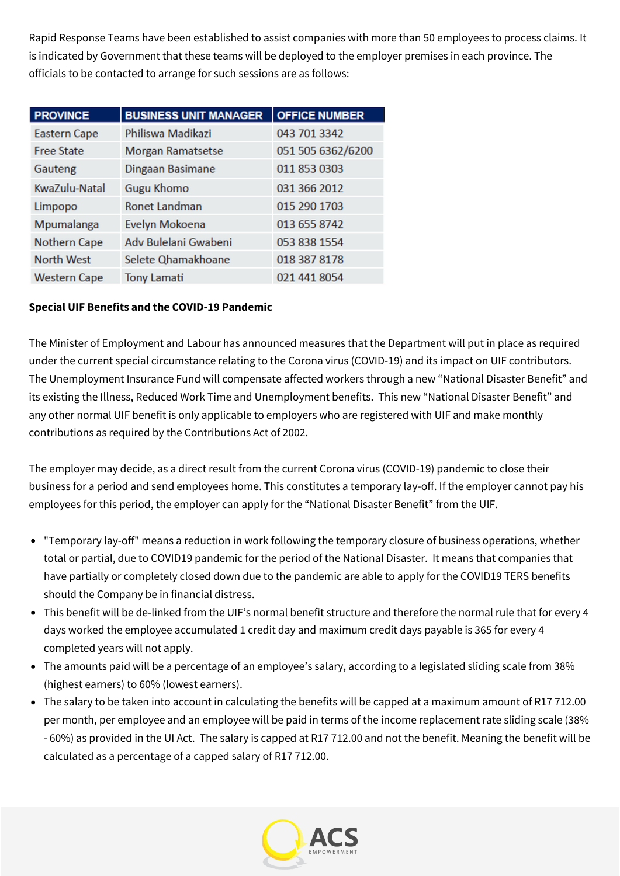Rapid Response Teams have been established to assist companies with more than 50 employees to process claims. It is indicated by Government that these teams will be deployed to the employer premises in each province. The officials to be contacted to arrange for such sessions are as follows:

| <b>PROVINCE</b>     | <b>BUSINESS UNIT MANAGER</b> | <b>OFFICE NUMBER</b> |
|---------------------|------------------------------|----------------------|
| <b>Eastern Cape</b> | Philiswa Madikazi            | 043 701 3342         |
| <b>Free State</b>   | <b>Morgan Ramatsetse</b>     | 051 505 6362/6200    |
| Gauteng             | Dingaan Basimane             | 011 853 0303         |
| KwaZulu-Natal       | <b>Gugu Khomo</b>            | 031 366 2012         |
| Limpopo             | <b>Ronet Landman</b>         | 015 290 1703         |
| Mpumalanga          | Evelyn Mokoena               | 013 655 8742         |
| <b>Nothern Cape</b> | Adv Bulelani Gwabeni         | 053 838 1554         |
| <b>North West</b>   | Selete Qhamakhoane           | 018 387 8178         |
| <b>Western Cape</b> | <b>Tony Lamati</b>           | 021 441 8054         |

# **Special UIF Benefits and the COVID-19 Pandemic**

The Minister of Employment and Labour has announced measures that the Department will put in place as required under the current special circumstance relating to the Corona virus (COVID-19) and its impact on UIF contributors. The Unemployment Insurance Fund will compensate affected workers through a new "National Disaster Benefit" and its existing the Illness, Reduced Work Time and Unemployment benefits. This new "National Disaster Benefit" and any other normal UIF benefit is only applicable to employers who are registered with UIF and make monthly contributions as required by the Contributions Act of 2002.

The employer may decide, as a direct result from the current Corona virus (COVID-19) pandemic to close their business for a period and send employees home. This constitutes a temporary lay-off. If the employer cannot pay his employees for this period, the employer can apply for the "National Disaster Benefit" from the UIF.

- "Temporary lay-off" means a reduction in work following the temporary closure of business operations, whether total or partial, due to COVID19 pandemic for the period of the National Disaster. It means that companies that have partially or completely closed down due to the pandemic are able to apply for the COVID19 TERS benefits should the Company be in financial distress.
- This benefit will be de-linked from the UIF's normal benefit structure and therefore the normal rule that for every 4 days worked the employee accumulated 1 credit day and maximum credit days payable is 365 for every 4 completed years will not apply.
- The amounts paid will be a percentage of an employee's salary, according to a legislated sliding scale from 38% (highest earners) to 60% (lowest earners).
- The salary to be taken into account in calculating the benefits will be capped at a maximum amount of R17 712.00 per month, per employee and an employee will be paid in terms of the income replacement rate sliding scale (38% - 60%) as provided in the UI Act. The salary is capped at R17 712.00 and not the benefit. Meaning the benefit will be calculated as a percentage of a capped salary of R17 712.00.

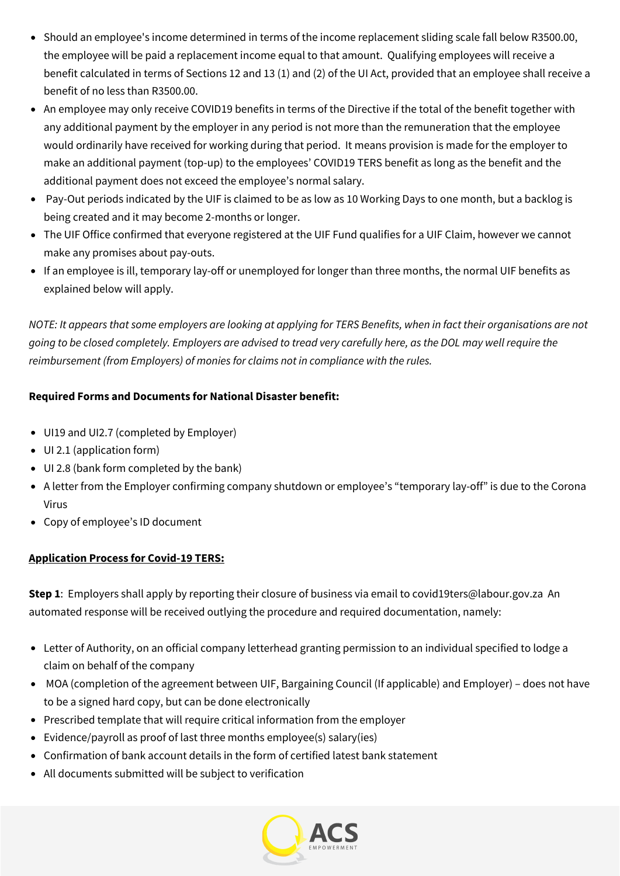- Should an employee's income determined in terms of the income replacement sliding scale fall below R3500.00, the employee will be paid a replacement income equal to that amount. Qualifying employees will receive a benefit calculated in terms of Sections 12 and 13 (1) and (2) of the UI Act, provided that an employee shall receive a benefit of no less than R3500.00.
- An employee may only receive COVID19 benefits in terms of the Directive if the total of the benefit together with any additional payment by the employer in any period is not more than the remuneration that the employee would ordinarily have received for working during that period. It means provision is made for the employer to make an additional payment (top-up) to the employees' COVID19 TERS benefit as long as the benefit and the additional payment does not exceed the employee's normal salary.
- Pay-Out periods indicated by the UIF is claimed to be as low as 10 Working Days to one month, but a backlog is being created and it may become 2-months or longer.
- The UIF Office confirmed that everyone registered at the UIF Fund qualifies for a UIF Claim, however we cannot make any promises about pay-outs.
- If an employee is ill, temporary lay-off or unemployed for longer than three months, the normal UIF benefits as explained below will apply.

NOTE: It appears that some employers are looking at applying for TERS Benefits, when in fact their organisations are not going to be closed completely. Employers are advised to tread very carefully here, as the DOL may well require the *reimbursement (from Employers) of monies for claims not in compliance with the rules.*

# **Required Forms and Documents for National Disaster benefit:**

- UI19 and UI2.7 (completed by Employer)
- UI 2.1 (application form)
- UI 2.8 (bank form completed by the bank)
- A letter from the Employer confirming company shutdown or employee's "temporary lay-off" is due to the Corona Virus
- Copy of employee's ID document

# **Application Process for Covid-19 TERS:**

**Step 1**: Employers shall apply by reporting their closure of business via email to covid19ters@labour.gov.za An automated response will be received outlying the procedure and required documentation, namely:

- Letter of Authority, on an official company letterhead granting permission to an individual specified to lodge a claim on behalf of the company
- MOA (completion of the agreement between UIF, Bargaining Council (If applicable) and Employer) does not have to be a signed hard copy, but can be done electronically
- Prescribed template that will require critical information from the employer
- Evidence/payroll as proof of last three months employee(s) salary(ies)
- Confirmation of bank account details in the form of certified latest bank statement
- All documents submitted will be subject to verification

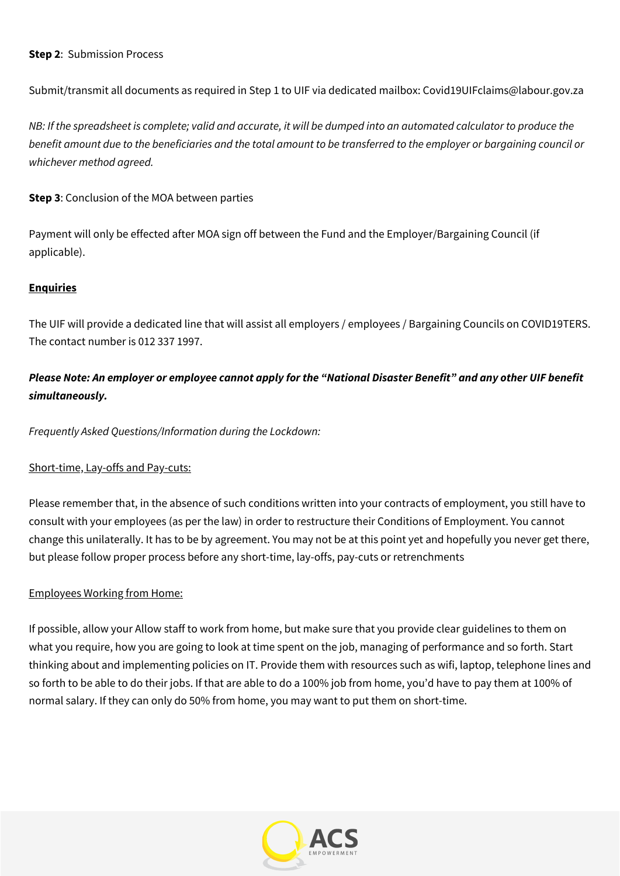#### **Step 2**: Submission Process

Submit/transmit all documents as required in Step 1 to UIF via dedicated mailbox: Covid19UIFclaims@labour.gov.za

NB: If the spreadsheet is complete; valid and accurate, it will be dumped into an automated calculator to produce the benefit amount due to the beneficiaries and the total amount to be transferred to the employer or bargaining council or *whichever method agreed.*

**Step 3**: Conclusion of the MOA between parties

Payment will only be effected after MOA sign off between the Fund and the Employer/Bargaining Council (if applicable).

## **Enquiries**

The UIF will provide a dedicated line that will assist all employers / employees / Bargaining Councils on COVID19TERS. The contact number is 012 337 1997.

# Please Note: An employer or employee cannot apply for the "National Disaster Benefit" and any other UIF benefit *simultaneously.*

*Frequently Asked Questions/Information during the Lockdown:*

#### Short-time, Lay-offs and Pay-cuts:

Please remember that, in the absence of such conditions written into your contracts of employment, you still have to consult with your employees (as per the law) in order to restructure their Conditions of Employment. You cannot change this unilaterally. It has to be by agreement. You may not be at this point yet and hopefully you never get there, but please follow proper process before any short-time, lay-offs, pay-cuts or retrenchments

# Employees Working from Home:

If possible, allow your Allow staff to work from home, but make sure that you provide clear guidelines to them on what you require, how you are going to look at time spent on the job, managing of performance and so forth. Start thinking about and implementing policies on IT. Provide them with resources such as wifi, laptop, telephone lines and so forth to be able to do their jobs. If that are able to do a 100% job from home, you'd have to pay them at 100% of normal salary. If they can only do 50% from home, you may want to put them on short-time.